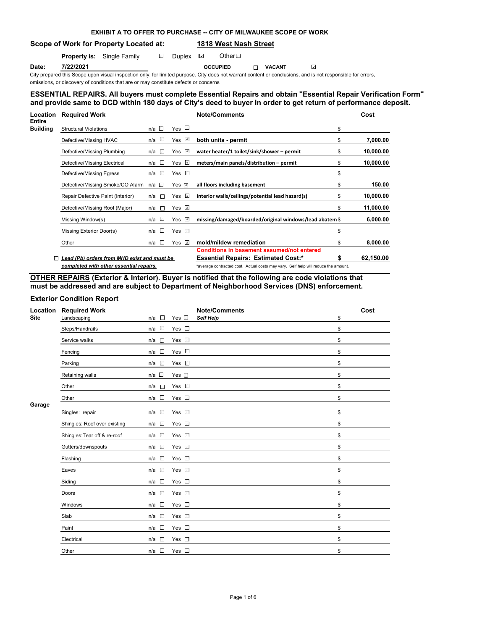## **EXHIBIT A TO OFFER TO PURCHASE -- CITY OF MILWAUKEE SCOPE OF WORK**

**Scope of Work for Property Located at: 1818 West Nash Street**

**Property is:** Single Family  $\Box$  Duplex  $\Box$  Other  $\Box$ 

**Date: 7/22/2021 OCCUPIED VACANT**  $\omega$ 

City prepared this Scope upon visual inspection only, for limited purpose. City does not warrant content or conclusions, and is not responsible for errors, omissions, or discovery of conditions that are or may constitute defects or concerns

## **ESSENTIAL REPAIRS. All buyers must complete Essential Repairs and obtain "Essential Repair Verification Form" and provide same to DCD within 180 days of City's deed to buyer in order to get return of performance deposit.**

| Location<br>Entire | <b>Required Work</b>                        |                       |                                 | <b>Note/Comments</b>                                                                            |    | Cost      |
|--------------------|---------------------------------------------|-----------------------|---------------------------------|-------------------------------------------------------------------------------------------------|----|-----------|
| Building           | <b>Structural Violations</b>                | $n/a$ $\Box$          | Yes $\Box$                      |                                                                                                 | \$ |           |
|                    | Defective/Missing HVAC                      | n/a □                 | Yes ⊻                           | both units - permit                                                                             | \$ | 7,000.00  |
|                    | Defective/Missing Plumbing                  | n/a<br>$\Box$         | Yes $\Box$                      | water heater/1 toilet/sink/shower - permit                                                      | \$ | 10,000.00 |
|                    | Defective/Missing Electrical                | <b>II</b><br>n/a      | $\omega$<br>Yes                 | meters/main panels/distribution - permit                                                        | \$ | 10,000.00 |
|                    | Defective/Missing Egress                    | n/a □                 | Yes $\square$                   |                                                                                                 | \$ |           |
|                    | Defective/Missing Smoke/CO Alarm            | n/a □                 | Yes $\Box$                      | all floors including basement                                                                   | \$ | 150.00    |
|                    | Repair Defective Paint (Interior)           | n/a l⊡                | Yes $\sqrt{ }$                  | Interior walls/ceilings/potential lead hazard(s)                                                | \$ | 10,000.00 |
|                    | Defective/Missing Roof (Major)              | $\mathbb{R}^n$<br>n/a | Yes $\Box$                      |                                                                                                 | \$ | 11,000.00 |
| $\Box$             | Missing Window(s)                           | n/a $\square$         | $\overline{\mathcal{L}}$<br>Yes | missing/damaged/boarded/original windows/lead abatem \$                                         |    | 6,000.00  |
|                    | Missing Exterior Door(s)                    | n/a □                 | Yes $\square$                   |                                                                                                 | \$ |           |
|                    | Other                                       | <b>ISS</b><br>n/a     | $\overline{\mathcal{L}}$<br>Yes | mold/mildew remediation                                                                         | \$ | 8,000.00  |
|                    | Lead (Pb) orders from MHD exist and must be |                       |                                 | <b>Conditions in basement assumed/not entered</b><br><b>Essential Repairs: Estimated Cost:*</b> | S  | 62,150.00 |
|                    | completed with other essential repairs.     |                       |                                 | *average contracted cost. Actual costs may vary. Self help will reduce the amount.              |    |           |

**OTHER REPAIRS (Exterior & Interior). Buyer is notified that the following are code violations that must be addressed and are subject to Department of Neighborhood Services (DNS) enforcement.**

## **Exterior Condition Report**

| Location<br><b>Site</b> | <b>Required Work</b><br>Landscaping | $\sim 10$<br>n/a                | Yes $\square$ | <b>Note/Comments</b><br>Self Help | Cost<br>\$ |
|-------------------------|-------------------------------------|---------------------------------|---------------|-----------------------------------|------------|
|                         | Steps/Handrails                     | $\sim$<br>n/a                   | Yes $\square$ |                                   | \$         |
|                         | Service walks                       | n/a<br>$\Box$                   | Yes $\square$ |                                   | \$         |
|                         | Fencing                             | $\Box$<br>n/a                   | Yes $\square$ |                                   | \$         |
|                         | Parking                             | $n/a$ $\square$                 | Yes $\square$ |                                   | \$         |
|                         | Retaining walls                     | $n/a$ $\square$                 | Yes $\square$ |                                   | \$         |
|                         | Other                               | n/a<br>П                        | Yes $\square$ |                                   | \$         |
|                         | Other                               | $n/a$ $\Box$                    | Yes $\square$ |                                   | \$         |
| Garage                  | Singles: repair                     | $\Box$<br>n/a                   | Yes $\square$ |                                   | \$         |
|                         | Shingles: Roof over existing        | $\Box$<br>n/a                   | Yes $\square$ |                                   | \$         |
|                         | Shingles: Tear off & re-roof        | $\Box$<br>n/a                   | Yes $\square$ |                                   | \$         |
|                         | Gutters/downspouts                  | $n/a$ $\square$                 | Yes $\square$ |                                   | \$         |
|                         | Flashing                            | $\sim$<br>n/a                   | Yes $\square$ |                                   | \$         |
|                         | Eaves                               | $\overline{\phantom{a}}$<br>n/a | Yes $\square$ |                                   | \$         |
|                         | Siding                              | $\sim$<br>n/a                   | Yes $\square$ |                                   | \$         |
|                         | Doors                               | $\Box$<br>n/a                   | Yes $\square$ |                                   | \$         |
|                         | Windows                             | $\Box$<br>n/a                   | Yes $\square$ |                                   | \$         |
|                         | Slab                                | $\overline{a}$<br>n/a           | Yes $\square$ |                                   | \$         |
|                         | Paint                               | $n/a$ $\square$                 | Yes $\square$ |                                   | \$         |
|                         | Electrical                          | - Gr<br>n/a                     | Yes $\square$ |                                   | \$         |
|                         | Other                               | $\Box$<br>n/a                   | Yes $\square$ |                                   | \$         |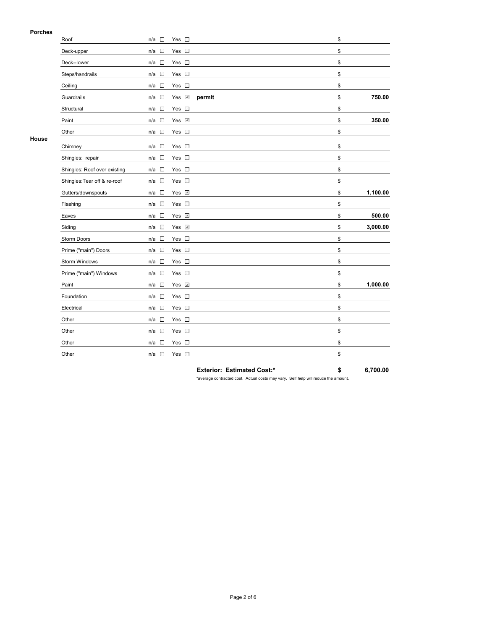### **Porches**

|       | Roof                         | n/a<br>$\overline{\phantom{a}}$    | Yes $\square$ |                            | \$             |
|-------|------------------------------|------------------------------------|---------------|----------------------------|----------------|
|       | Deck-upper                   | $\overline{\phantom{a}}$<br>n/a    | Yes $\square$ |                            | \$             |
|       | Deck--lower                  | $\Box$<br>n/a                      | Yes $\square$ |                            | \$             |
|       | Steps/handrails              | $\mathcal{L}_{\rm{eff}}$<br>n/a    | Yes $\square$ |                            | \$             |
|       | Ceiling                      | $\overline{\phantom{a}}$<br>n/a    | Yes $\square$ |                            | \$             |
|       | Guardrails                   | n/a<br>$\mathcal{L}_{\mathcal{A}}$ | Yes <b>√</b>  | permit                     | \$<br>750.00   |
|       | Structural                   | $\Box$<br>n/a                      | Yes $\square$ |                            | \$             |
|       | Paint                        | n/a<br>$\Box$                      | Yes v         |                            | \$<br>350.00   |
|       | Other                        | $\Box$<br>n/a                      | Yes $\square$ |                            | \$             |
| House | Chimney                      | n/a<br>$\overline{\phantom{a}}$    | Yes $\square$ |                            | \$             |
|       | Shingles: repair             | $\mathcal{L}_{\mathcal{A}}$<br>n/a | Yes $\square$ |                            | \$             |
|       | Shingles: Roof over existing | $\mathcal{L}_{\mathcal{A}}$<br>n/a | Yes $\square$ |                            | \$             |
|       | Shingles: Tear off & re-roof | $n/a$ $\square$                    | Yes $\square$ |                            | \$             |
|       | Gutters/downspouts           | $\overline{\phantom{a}}$<br>n/a    | Yes 7         |                            | \$<br>1,100.00 |
|       | Flashing                     | $\Box$<br>n/a                      | Yes $\square$ |                            | \$             |
|       | Eaves                        | $\mathcal{L}_{\mathcal{A}}$<br>n/a | Yes D         |                            | \$<br>500.00   |
|       | Siding                       | $\overline{\phantom{a}}$<br>n/a    | Yes <b>⊽</b>  |                            | \$<br>3,000.00 |
|       | Storm Doors                  | $\Box$<br>n/a                      | Yes $\square$ |                            | \$             |
|       | Prime ("main") Doors         | $\overline{\phantom{a}}$<br>n/a    | Yes $\square$ |                            | \$             |
|       | Storm Windows                | $\Box$<br>n/a                      | Yes $\square$ |                            | \$             |
|       | Prime ("main") Windows       | $\overline{\phantom{a}}$<br>n/a    | Yes $\square$ |                            | \$             |
|       | Paint                        | $\Box$<br>n/a                      | Yes M         |                            | \$<br>1,000.00 |
|       | Foundation                   | $\overline{\phantom{a}}$<br>n/a    | Yes $\square$ |                            | \$             |
|       | Electrical                   | $\overline{\phantom{a}}$<br>n/a    | Yes $\square$ |                            | \$             |
|       | Other                        | $\mathcal{L}_{\mathcal{A}}$<br>n/a | Yes $\square$ |                            | \$             |
|       | Other                        | $\mathcal{L}_{\mathcal{A}}$<br>n/a | Yes $\square$ |                            | \$             |
|       | Other                        | $\sim$<br>n/a                      | Yes $\square$ |                            | \$             |
|       | Other                        | $\overline{\phantom{a}}$<br>n/a    | Yes $\square$ |                            | \$             |
|       |                              |                                    |               | Exterior: Estimated Cost:* | \$<br>6,700.00 |

\*average contracted cost. Actual costs may vary. Self help will reduce the amount.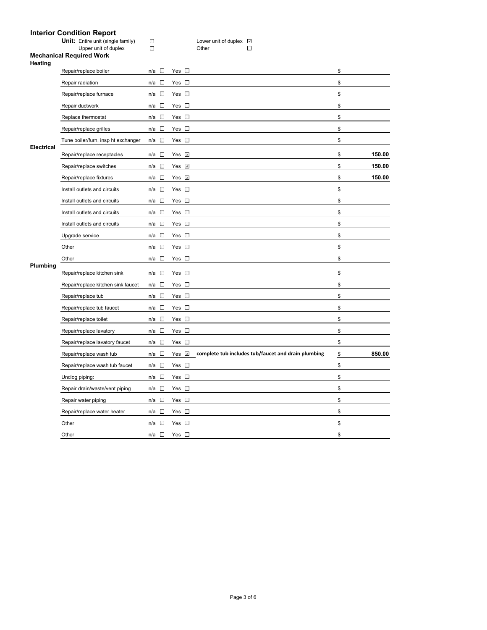## **Interior Condition Report**

|                   | interior Condition Report<br>Unit: Entire unit (single family) | П                                  |               | Lower unit of duplex Z                              |              |
|-------------------|----------------------------------------------------------------|------------------------------------|---------------|-----------------------------------------------------|--------------|
|                   | Upper unit of duplex                                           | $\Box$                             |               | $\Box$<br>Other                                     |              |
| Heating           | <b>Mechanical Required Work</b>                                |                                    |               |                                                     |              |
|                   | Repair/replace boiler                                          | $\Box$<br>n/a                      | Yes $\square$ |                                                     | \$           |
|                   | Repair radiation                                               | $\sim$<br>n/a                      | Yes $\square$ |                                                     | \$           |
|                   | Repair/replace furnace                                         | $\overline{\phantom{a}}$<br>n/a    | Yes $\square$ |                                                     | \$           |
|                   | Repair ductwork                                                | $\sim 10$<br>n/a                   | Yes $\square$ |                                                     | \$           |
|                   | Replace thermostat                                             | $\overline{\phantom{a}}$<br>n/a    | Yes $\square$ |                                                     | \$           |
|                   | Repair/replace grilles                                         | $\sim$<br>n/a                      | Yes $\square$ |                                                     | \$           |
|                   | Tune boiler/furn. insp ht exchanger                            | n/a<br>$\overline{\phantom{a}}$    | Yes $\square$ |                                                     | \$           |
| <b>Electrical</b> | Repair/replace receptacles                                     | $\mathbb{R}^n$<br>n/a              | Yes v         |                                                     | \$<br>150.00 |
|                   | Repair/replace switches                                        | $\mathcal{L}$<br>n/a               | Yes $\Box$    |                                                     | \$<br>150.00 |
|                   | Repair/replace fixtures                                        | $\Box$<br>n/a                      | Yes v         |                                                     | \$<br>150.00 |
|                   | Install outlets and circuits                                   | $\sim$<br>n/a                      | Yes $\square$ |                                                     | \$           |
|                   | Install outlets and circuits                                   | $\overline{\phantom{a}}$<br>n/a    | Yes $\square$ |                                                     | \$           |
|                   | Install outlets and circuits                                   | $\overline{\phantom{a}}$<br>n/a    | Yes $\square$ |                                                     | \$           |
|                   | Install outlets and circuits                                   | $\sim$<br>n/a                      | Yes $\square$ |                                                     | \$           |
|                   | Upgrade service                                                | $\Box$<br>n/a                      | Yes $\square$ |                                                     | \$           |
|                   | Other                                                          | n/a<br><b>D</b>                    | Yes $\square$ |                                                     | \$           |
|                   | Other                                                          | $\Box$<br>n/a                      | Yes $\square$ |                                                     | \$           |
| Plumbing          | Repair/replace kitchen sink                                    | $\mathcal{L}_{\mathcal{A}}$<br>n/a | Yes $\square$ |                                                     | \$           |
|                   | Repair/replace kitchen sink faucet                             | $\Box$<br>n/a                      | Yes $\square$ |                                                     | \$           |
|                   | Repair/replace tub                                             | $\mathcal{L}_{\mathcal{A}}$<br>n/a | Yes $\square$ |                                                     | \$           |
|                   | Repair/replace tub faucet                                      | $\Box$<br>n/a                      | Yes $\square$ |                                                     | \$           |
|                   | Repair/replace toilet                                          | $\Box$<br>n/a                      | Yes $\square$ |                                                     | \$           |
|                   | Repair/replace lavatory                                        | $\Box$<br>n/a                      | Yes $\square$ |                                                     | \$           |
|                   | Repair/replace lavatory faucet                                 | $\Box$<br>n/a                      | Yes $\square$ |                                                     | \$           |
|                   | Repair/replace wash tub                                        | $\Box$<br>n/a                      | Yes v         | complete tub includes tub/faucet and drain plumbing | \$<br>850.00 |
|                   | Repair/replace wash tub faucet                                 | $\Box$<br>n/a                      | Yes $\square$ |                                                     | \$           |
|                   | Unclog piping:                                                 | $\sim$<br>n/a                      | Yes $\square$ |                                                     | \$           |
|                   | Repair drain/waste/vent piping                                 | $\overline{\phantom{a}}$<br>n/a    | Yes $\square$ |                                                     | \$           |
|                   | Repair water piping                                            | $\Box$<br>n/a                      | Yes $\square$ |                                                     | \$           |
|                   | Repair/replace water heater                                    | $\Box$<br>n/a                      | Yes $\square$ |                                                     | \$           |
|                   | Other                                                          | $\mathbb{R}^n$<br>n/a              | Yes $\square$ |                                                     | \$           |
|                   | Other                                                          | n/a □                              | Yes $\square$ |                                                     | \$           |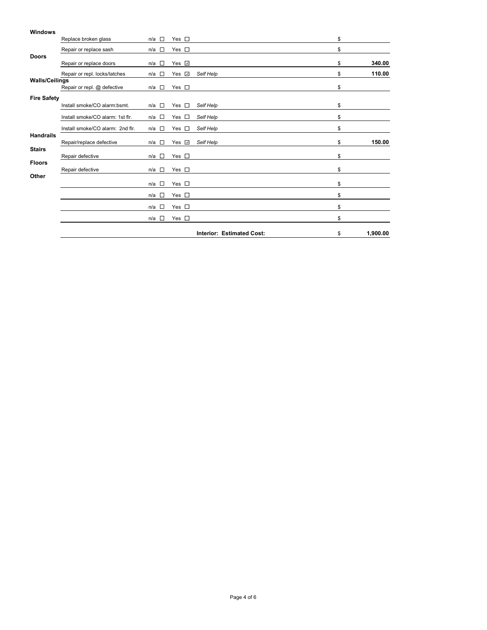| <b>Windows</b>        |                                  |                                 |               |                                  |                |
|-----------------------|----------------------------------|---------------------------------|---------------|----------------------------------|----------------|
|                       | Replace broken glass             | $\Box$<br>n/a                   | Yes $\square$ |                                  | \$             |
|                       | Repair or replace sash           | $\Box$<br>n/a                   | Yes $\square$ |                                  | \$             |
| <b>Doors</b>          | Repair or replace doors          | n/a<br>$\sim$                   | Yes V         |                                  | \$<br>340.00   |
|                       | Repair or repl. locks/latches    | n/a<br>$\sim$                   | Yes <b>√</b>  | Self Help                        | \$<br>110.00   |
| <b>Walls/Ceilings</b> | Repair or repl. @ defective      | $\sim 10$<br>n/a                | Yes $\square$ |                                  | \$             |
| <b>Fire Safety</b>    |                                  |                                 |               |                                  |                |
|                       | Install smoke/CO alarm:bsmt.     | $\overline{\phantom{a}}$<br>n/a | Yes $\square$ | Self Help                        | \$             |
|                       | Install smoke/CO alarm: 1st flr. | n/a<br>$\sim$                   | Yes $\square$ | Self Help                        | \$             |
|                       | Install smoke/CO alarm: 2nd flr. | <b>The Second Second</b><br>n/a | Yes $\square$ | Self Help                        | \$             |
| <b>Handrails</b>      | Repair/replace defective         | n/a<br>n                        | Yes <b>⊽</b>  | Self Help                        | \$<br>150.00   |
| <b>Stairs</b>         | Repair defective                 | <b>D</b><br>n/a                 | Yes $\square$ |                                  | \$             |
| <b>Floors</b>         | Repair defective                 | $\Box$<br>n/a                   | Yes $\square$ |                                  | \$             |
| Other                 |                                  |                                 |               |                                  |                |
|                       |                                  | $\Box$<br>n/a                   | Yes $\square$ |                                  | \$             |
|                       |                                  | $\Box$<br>n/a                   | Yes $\square$ |                                  | \$             |
|                       |                                  | П<br>n/a                        | Yes $\square$ |                                  | \$             |
|                       |                                  | $\Box$<br>n/a                   | Yes $\square$ |                                  | \$             |
|                       |                                  |                                 |               | <b>Interior: Estimated Cost:</b> | \$<br>1,900.00 |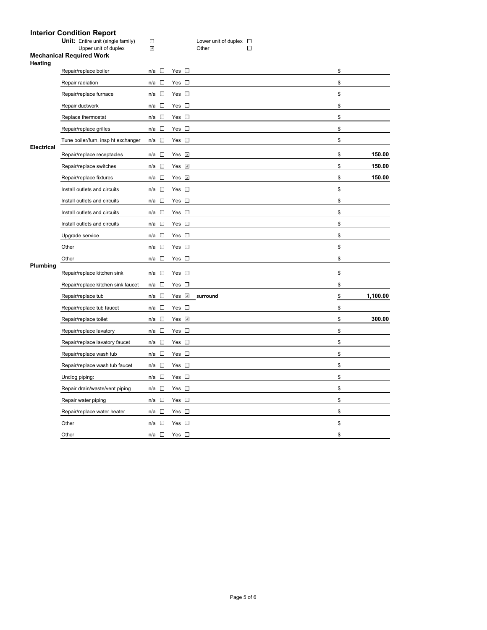# **Interior Condition Report**

|                   | interior Condition Report<br><b>Unit:</b> Entire unit (single family) | $\Box$                             |               | Lower unit of duplex $\square$ |                |
|-------------------|-----------------------------------------------------------------------|------------------------------------|---------------|--------------------------------|----------------|
|                   | Upper unit of duplex                                                  | $\omega$                           |               | $\Box$<br>Other                |                |
|                   | <b>Mechanical Required Work</b>                                       |                                    |               |                                |                |
| Heating           | Repair/replace boiler                                                 | $\overline{\phantom{a}}$<br>n/a    | Yes $\square$ |                                | \$             |
|                   | Repair radiation                                                      | $\sim$<br>n/a                      | Yes $\square$ |                                | \$             |
|                   | Repair/replace furnace                                                | $\overline{\phantom{a}}$<br>n/a    | Yes $\square$ |                                | \$             |
|                   | Repair ductwork                                                       | $\Box$<br>n/a                      | Yes $\square$ |                                | \$             |
|                   | Replace thermostat                                                    | $\Box$<br>n/a                      | Yes $\square$ |                                | \$             |
|                   | Repair/replace grilles                                                | $\mathcal{L}_{\mathcal{A}}$<br>n/a | Yes $\square$ |                                | \$             |
|                   | Tune boiler/furn. insp ht exchanger                                   | $\Box$<br>n/a                      | Yes $\square$ |                                | \$             |
| <b>Electrical</b> | Repair/replace receptacles                                            | □<br>n/a                           | Yes <b>√</b>  |                                | \$<br>150.00   |
|                   | Repair/replace switches                                               | $\Box$<br>n/a                      | Yes <b>⊽</b>  |                                | \$<br>150.00   |
|                   | Repair/replace fixtures                                               | $\mathcal{L}_{\mathcal{A}}$<br>n/a | Yes √         |                                | \$<br>150.00   |
|                   | Install outlets and circuits                                          | $\Box$<br>n/a                      | Yes $\square$ |                                | \$             |
|                   | Install outlets and circuits                                          | $\mathcal{L}$<br>n/a               | Yes $\square$ |                                | \$             |
|                   | Install outlets and circuits                                          | $\overline{\phantom{a}}$<br>n/a    | Yes $\square$ |                                | \$             |
|                   | Install outlets and circuits                                          | $\Box$<br>n/a                      | Yes $\square$ |                                | \$             |
|                   | Upgrade service                                                       | $\Box$<br>n/a                      | Yes $\square$ |                                | \$             |
|                   | Other                                                                 | n/a<br>$\sim$                      | Yes $\square$ |                                | \$             |
|                   | Other                                                                 | $\mathcal{L}_{\mathcal{A}}$<br>n/a | Yes $\square$ |                                | \$             |
| Plumbing          | Repair/replace kitchen sink                                           | $\mathcal{L}_{\mathcal{A}}$<br>n/a | Yes $\square$ |                                | \$             |
|                   | Repair/replace kitchen sink faucet                                    | $\sim$<br>n/a                      | Yes $\square$ |                                | \$             |
|                   | Repair/replace tub                                                    | $\Box$<br>n/a                      | Yes <b>☑</b>  | surround                       | \$<br>1,100.00 |
|                   | Repair/replace tub faucet                                             | $\Box$<br>n/a                      | Yes $\square$ |                                | \$             |
|                   | Repair/replace toilet                                                 | $\Box$<br>n/a                      | Yes v         |                                | \$<br>300.00   |
|                   | Repair/replace lavatory                                               | $\sim$<br>n/a                      | Yes $\square$ |                                | \$             |
|                   | Repair/replace lavatory faucet                                        | $\mathcal{L}$<br>n/a               | Yes $\square$ |                                | \$             |
|                   | Repair/replace wash tub                                               | $\Box$<br>n/a                      | Yes $\square$ |                                | \$             |
|                   | Repair/replace wash tub faucet                                        | $\Box$<br>n/a                      | Yes $\square$ |                                | \$             |
|                   | Unclog piping:                                                        | $\Box$<br>n/a                      | Yes $\square$ |                                | \$             |
|                   | Repair drain/waste/vent piping                                        | $\overline{\phantom{a}}$<br>n/a    | Yes $\square$ |                                | \$             |
|                   | Repair water piping                                                   | $\Box$<br>n/a                      | Yes $\square$ |                                | \$             |
|                   | Repair/replace water heater                                           | $\mathcal{L}_{\mathcal{A}}$<br>n/a | Yes $\square$ |                                | \$             |
|                   | Other                                                                 | $\mathbb{R}^n$<br>n/a              | Yes $\square$ |                                | \$             |
|                   | Other                                                                 | n/a $\square$                      | Yes $\square$ |                                | \$             |